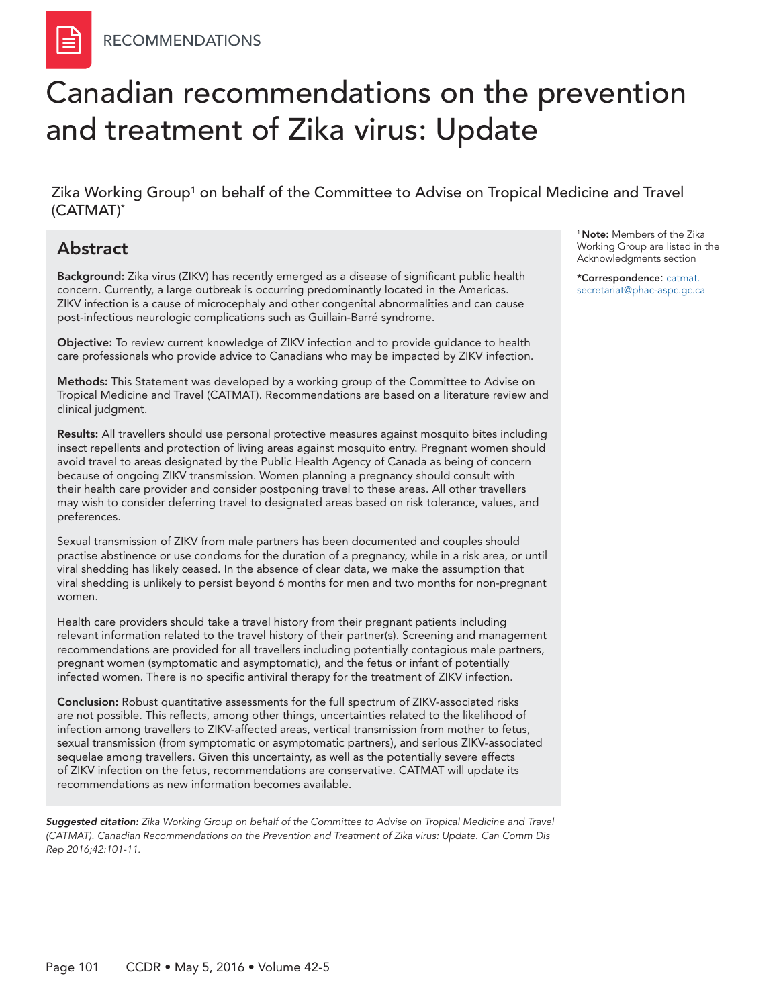# Canadian recommendations on the prevention and treatment of Zika virus: Update

Zika Working Group<sup>1</sup> on behalf of the Committee to Advise on Tropical Medicine and Travel (CATMAT)\*

# Abstract

Background: Zika virus (ZIKV) has recently emerged as a disease of significant public health concern. Currently, a large outbreak is occurring predominantly located in the Americas. ZIKV infection is a cause of microcephaly and other congenital abnormalities and can cause post-infectious neurologic complications such as Guillain-Barré syndrome.

Objective: To review current knowledge of ZIKV infection and to provide guidance to health care professionals who provide advice to Canadians who may be impacted by ZIKV infection.

Methods: This Statement was developed by a working group of the Committee to Advise on Tropical Medicine and Travel (CATMAT). Recommendations are based on a literature review and clinical judgment.

Results: All travellers should use personal protective measures against mosquito bites including insect repellents and protection of living areas against mosquito entry. Pregnant women should avoid travel to areas designated by the Public Health Agency of Canada as being of concern because [of ongoing ZIKV transmission.](http://www.healthycanadians.gc.ca/diseases-conditions-maladies-affections/disease-maladie/zika-virus/risks-countries-pays-risques-eng.php) Women planning a pregnancy should consult with their health care provider and consider postponing travel to these areas. All other travellers may wish to consider deferring travel to designated areas based on risk tolerance, values, and preferences.

Sexual transmission of ZIKV from male partners has been documented and couples should practise abstinence or use condoms for the duration of a pregnancy, while in a risk area, or until viral shedding has likely ceased. In the absence of clear data, we make the assumption that viral shedding is unlikely to persist beyond 6 months for men and two months for non-pregnant women.

Health care providers should take a travel history from their pregnant patients including relevant information related to the travel history of their partner(s). Screening and management recommendations are provided for all travellers including potentially contagious male partners, pregnant women (symptomatic and asymptomatic), and the fetus or infant of potentially infected women. There is no specific antiviral therapy for the treatment of ZIKV infection.

Conclusion: Robust quantitative assessments for the full spectrum of ZIKV-associated risks are not possible. This reflects, among other things, uncertainties related to the likelihood of infection among travellers to ZIKV-affected areas, vertical transmission from mother to fetus, sexual transmission (from symptomatic or asymptomatic partners), and serious ZIKV-associated sequelae among travellers. Given this uncertainty, as well as the potentially severe effects of ZIKV infection on the fetus, recommendations are conservative. CATMAT will update its recommendations as new information becomes available.

*Suggested citation: Zika Working Group on behalf of the Committee to Advise on Tropical Medicine and Travel (CATMAT). Canadian Recommendations on the Prevention and Treatment of Zika virus: Update. Can Comm Dis Rep 2016;42:101-11.*

<sup>1</sup> Note: Members of the Zika Working Group are listed in the Acknowledgments section

\*Correspondence: [catmat.](mailto:catmat.secretariat%40phac-aspc.gc.ca?subject=) [secretariat@phac-aspc.gc.ca](mailto:catmat.secretariat%40phac-aspc.gc.ca?subject=)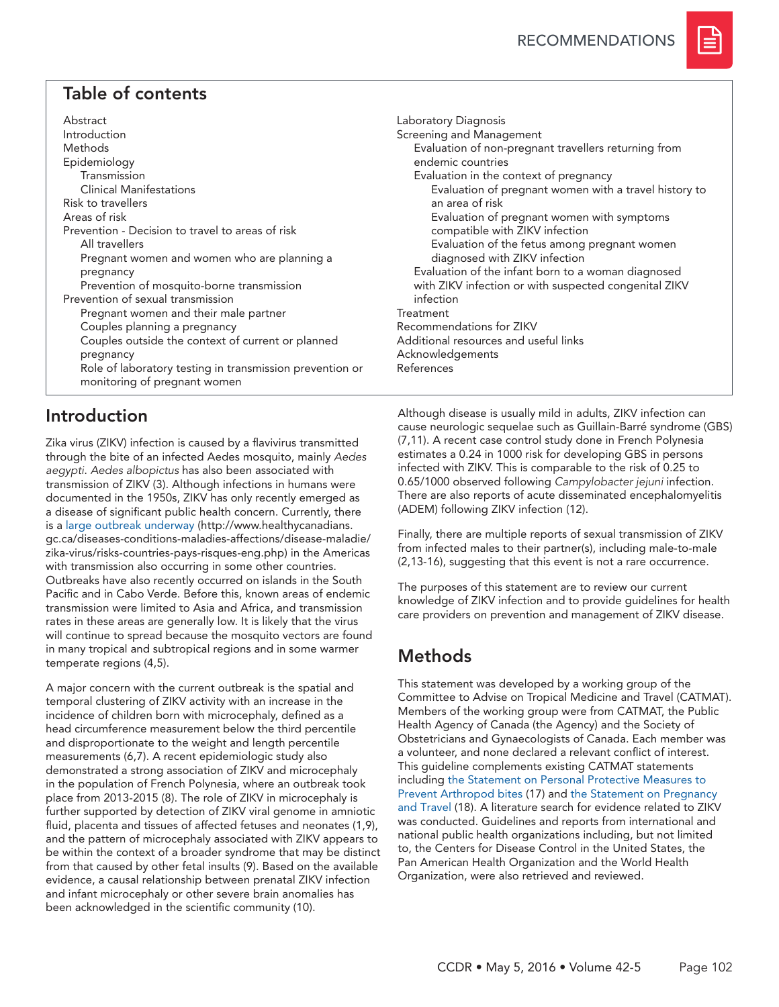

# Table of contents

| Abstract                                                 |  |  |  |
|----------------------------------------------------------|--|--|--|
| Introduction                                             |  |  |  |
| Methods                                                  |  |  |  |
| Epidemiology                                             |  |  |  |
| Transmission                                             |  |  |  |
| <b>Clinical Manifestations</b>                           |  |  |  |
| Risk to travellers                                       |  |  |  |
| Areas of risk                                            |  |  |  |
| Prevention - Decision to travel to areas of risk         |  |  |  |
| All travellers                                           |  |  |  |
| Pregnant women and women who are planning a              |  |  |  |
| pregnancy                                                |  |  |  |
| Prevention of mosquito-borne transmission                |  |  |  |
| Prevention of sexual transmission                        |  |  |  |
| Pregnant women and their male partner                    |  |  |  |
| Couples planning a pregnancy                             |  |  |  |
| Couples outside the context of current or planned        |  |  |  |
| pregnancy                                                |  |  |  |
| Role of laboratory testing in transmission prevention or |  |  |  |
| monitoring of pregnant women                             |  |  |  |

# Introduction

Zika virus (ZIKV) infection is caused by a flavivirus transmitted through the bite of an infected Aedes mosquito, mainly *Aedes aegypti*. *Aedes albopictus* has also been associated with transmission of ZIKV (3). Although infections in humans were documented in the 1950s, ZIKV has only recently emerged as a disease of significant public health concern. Currently, there is a [large outbreak underway](http://www.healthycanadians.gc.ca/diseases-conditions-maladies-affections/disease-maladie/zika-virus/risks-countries-pays-risques-eng.php) (http://www.healthycanadians. gc.ca/diseases-conditions-maladies-affections/disease-maladie/ zika-virus/risks-countries-pays-risques-eng.php) in the Americas with transmission also occurring in some other countries. Outbreaks have also recently occurred on islands in the South Pacific and in Cabo Verde. Before this, known areas of endemic transmission were limited to Asia and Africa, and transmission rates in these areas are generally low. It is likely that the virus will continue to spread because the mosquito vectors are found in many tropical and subtropical regions and in some warmer temperate regions (4,5).

A major concern with the current outbreak is the spatial and temporal clustering of ZIKV activity with an increase in the incidence of children born with microcephaly, defined as a head circumference measurement below the third percentile and disproportionate to the weight and length percentile measurements (6,7). A recent epidemiologic study also demonstrated a strong association of ZIKV and microcephaly in the population of French Polynesia, where an outbreak took place from 2013-2015 (8). The role of ZIKV in microcephaly is further supported by detection of ZIKV viral genome in amniotic fluid, placenta and tissues of affected fetuses and neonates (1,9), and the pattern of microcephaly associated with ZIKV appears to be within the context of a broader syndrome that may be distinct from that caused by other fetal insults (9). Based on the available evidence, a causal relationship between prenatal ZIKV infection and infant microcephaly or other severe brain anomalies has been acknowledged in the scientific community (10).

Laboratory Diagnosis Screening and Management Evaluation of non-pregnant travellers returning from endemic countries Evaluation in the context of pregnancy Evaluation of pregnant women with a travel history to an area of risk Evaluation of pregnant women with symptoms compatible with ZIKV infection Evaluation of the fetus among pregnant women diagnosed with ZIKV infection Evaluation of the infant born to a woman diagnosed with ZIKV infection or with suspected congenital ZIKV infection Treatment Recommendations for ZIKV Additional resources and useful links Acknowledgements References

Although disease is usually mild in adults, ZIKV infection can cause neurologic sequelae such as Guillain-Barré syndrome (GBS) (7,11). A recent case control study done in French Polynesia estimates a 0.24 in 1000 risk for developing GBS in persons infected with ZIKV. This is comparable to the risk of 0.25 to 0.65/1000 observed following *Campylobacter jejuni* infection. There are also reports of acute disseminated encephalomyelitis (ADEM) following ZIKV infection (12).

Finally, there are multiple reports of sexual transmission of ZIKV from infected males to their partner(s), including male-to-male (2,13-16), suggesting that this event is not a rare occurrence.

The purposes of this statement are to review our current knowledge of ZIKV infection and to provide guidelines for health care providers on prevention and management of ZIKV disease.

# Methods

This statement was developed by a working group of the Committee to Advise on Tropical Medicine and Travel (CATMAT). Members of the working group were from CATMAT, the Public Health Agency of Canada (the Agency) and the Society of Obstetricians and Gynaecologists of Canada. Each member was a volunteer, and none declared a relevant conflict of interest. This guideline complements existing CATMAT statements including [the Statement on Personal Protective Measures to](http://www.phac-aspc.gc.ca/publicat/ccdr-rmtc/12vol38/acs-dcc-3/index-eng.php)  [Prevent Arthropod bites](http://www.phac-aspc.gc.ca/publicat/ccdr-rmtc/12vol38/acs-dcc-3/index-eng.php) (17) and [the Statement on Pregnancy](http://www.phac-aspc.gc.ca/publicat/ccdr-rmtc/10vol36/acs-2/index-eng.php)  [and Travel](http://www.phac-aspc.gc.ca/publicat/ccdr-rmtc/10vol36/acs-2/index-eng.php) (18). A literature search for evidence related to ZIKV was conducted. Guidelines and reports from international and national public health organizations including, but not limited to, the Centers for Disease Control in the United States, the Pan American Health Organization and the World Health Organization, were also retrieved and reviewed.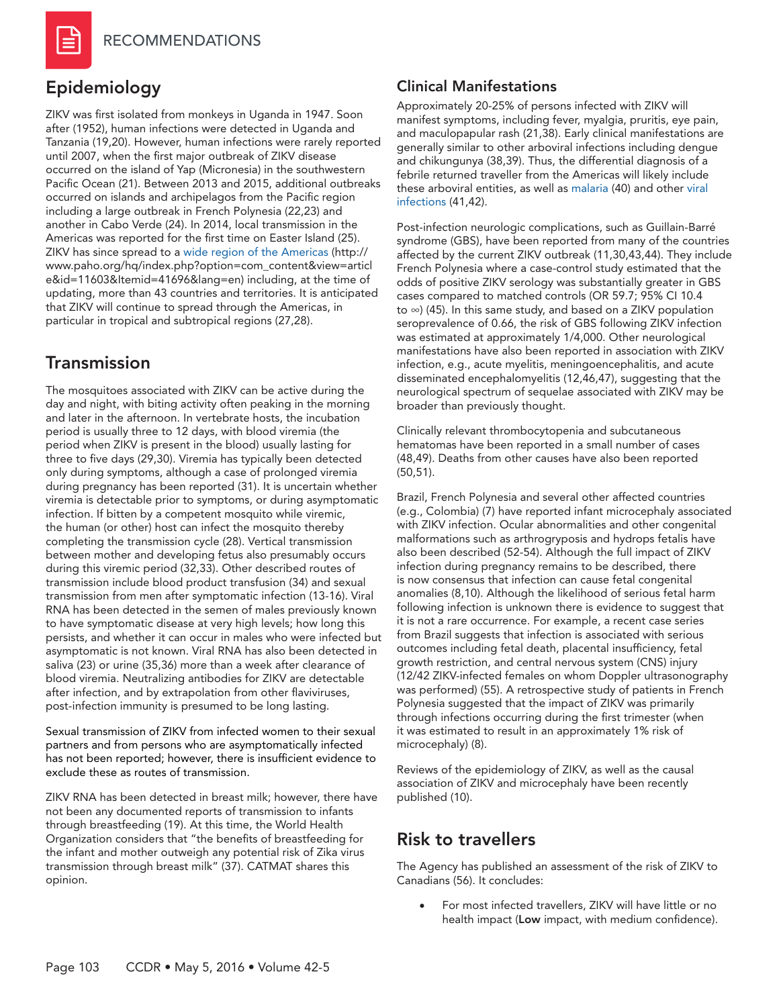

# Epidemiology

ZIKV was first isolated from monkeys in Uganda in 1947. Soon after (1952), human infections were detected in Uganda and Tanzania (19,20). However, human infections were rarely reported until 2007, when the first major outbreak of ZIKV disease occurred on the island of Yap (Micronesia) in the southwestern Pacific Ocean (21). Between 2013 and 2015, additional outbreaks occurred on islands and archipelagos from the Pacific region including a large outbreak in French Polynesia (22,23) and another in Cabo Verde (24). In 2014, local transmission in the Americas was reported for the first time on Easter Island (25). ZIKV has since spread to a [wide region of the Americas](http://www.paho.org/hq/index.php?option=com_content&view=article&id=11603&Itemid=41696&lang=en) (http:// www.paho.org/hq/index.php?option=com\_content&view=articl e&id=11603&Itemid=41696&lang=en) including, at the time of updating, more than 43 countries and territories. It is anticipated that ZIKV will continue to spread through the Americas, in particular in tropical and subtropical regions (27,28).

# Transmission

The mosquitoes associated with ZIKV can be active during the day and night, with biting activity often peaking in the morning and later in the afternoon. In vertebrate hosts, the incubation period is usually three to 12 days, with blood viremia (the period when ZIKV is present in the blood) usually lasting for three to five days (29,30). Viremia has typically been detected only during symptoms, although a case of prolonged viremia during pregnancy has been reported (31). It is uncertain whether viremia is detectable prior to symptoms, or during asymptomatic infection. If bitten by a competent mosquito while viremic, the human (or other) host can infect the mosquito thereby completing the transmission cycle (28). Vertical transmission between mother and developing fetus also presumably occurs during this viremic period (32,33). Other described routes of transmission include blood product transfusion (34) and sexual transmission from men after symptomatic infection (13-16). Viral RNA has been detected in the semen of males previously known to have symptomatic disease at very high levels; how long this persists, and whether it can occur in males who were infected but asymptomatic is not known. Viral RNA has also been detected in saliva (23) or urine (35,36) more than a week after clearance of blood viremia. Neutralizing antibodies for ZIKV are detectable after infection, and by extrapolation from other flaviviruses, post-infection immunity is presumed to be long lasting.

Sexual transmission of ZIKV from infected women to their sexual partners and from persons who are asymptomatically infected has not been reported; however, there is insufficient evidence to exclude these as routes of transmission.

ZIKV RNA has been detected in breast milk; however, there have not been any documented reports of transmission to infants through breastfeeding (19). At this time, the World Health Organization considers that "the benefits of breastfeeding for the infant and mother outweigh any potential risk of Zika virus transmission through breast milk" (37). CATMAT shares this opinion.

### Clinical Manifestations

Approximately 20-25% of persons infected with ZIKV will manifest symptoms, including fever, myalgia, pruritis, eye pain, and maculopapular rash (21,38). Early clinical manifestations are generally similar to other arboviral infections including dengue and chikungunya (38,39). Thus, the differential diagnosis of a febrile returned traveller from the Americas will likely include these arboviral entities, as well as [malaria](http://www.publications.gc.ca/site/eng/463465/publication.html) (40) and other [viral](http://www.phac-aspc.gc.ca/publicat/ccdr-rmtc/11vol37/acs-3/index-eng.php)  [infections](http://www.phac-aspc.gc.ca/publicat/ccdr-rmtc/11vol37/acs-3/index-eng.php) (41,42).

Post-infection neurologic complications, such as Guillain-Barré syndrome (GBS), have been reported from many of the countries affected by the current ZIKV outbreak (11,30,43,44). They include French Polynesia where a case-control study estimated that the odds of positive ZIKV serology was substantially greater in GBS cases compared to matched controls (OR 59.7; 95% CI 10.4 to ∞) (45). In this same study, and based on a ZIKV population seroprevalence of 0.66, the risk of GBS following ZIKV infection was estimated at approximately 1/4,000. Other neurological manifestations have also been reported in association with ZIKV infection, e.g., acute myelitis, meningoencephalitis, and acute disseminated encephalomyelitis (12,46,47), suggesting that the neurological spectrum of sequelae associated with ZIKV may be broader than previously thought.

Clinically relevant thrombocytopenia and subcutaneous hematomas have been reported in a small number of cases (48,49). Deaths from other causes have also been reported (50,51).

Brazil, French Polynesia and several other affected countries (e.g., Colombia) (7) have reported infant microcephaly associated with ZIKV infection. Ocular abnormalities and other congenital malformations such as arthrogryposis and hydrops fetalis have also been described (52-54). Although the full impact of ZIKV infection during pregnancy remains to be described, there is now consensus that infection can cause fetal congenital anomalies (8,10). Although the likelihood of serious fetal harm following infection is unknown there is evidence to suggest that it is not a rare occurrence. For example, a recent case series from Brazil suggests that infection is associated with serious outcomes including fetal death, placental insufficiency, fetal growth restriction, and central nervous system (CNS) injury (12/42 ZIKV-infected females on whom Doppler ultrasonography was performed) (55). A retrospective study of patients in French Polynesia suggested that the impact of ZIKV was primarily through infections occurring during the first trimester (when it was estimated to result in an approximately 1% risk of microcephaly) (8).

Reviews of the epidemiology of ZIKV, as well as the causal association of ZIKV and microcephaly have been recently published (10).

# Risk to travellers

The Agency has published an assessment of the risk of ZIKV to Canadians (56). It concludes:

For most infected travellers, ZIKV will have little or no health impact (Low impact, with medium confidence).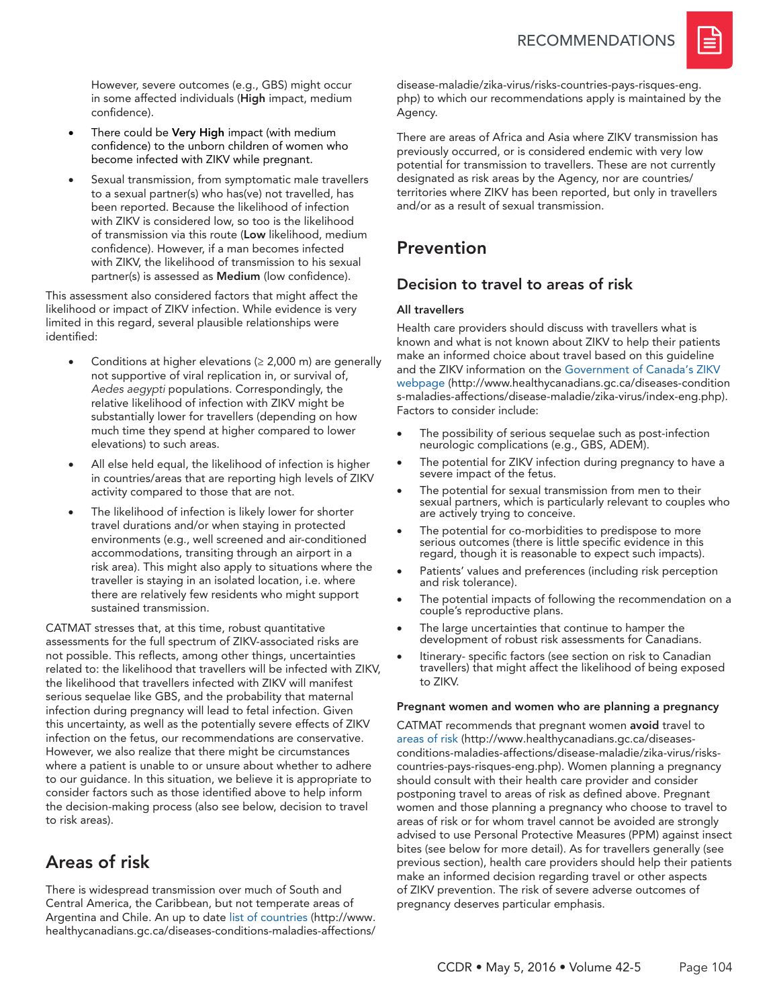

However, severe outcomes (e.g., GBS) might occur in some affected individuals (High impact, medium confidence).

- There could be Very High impact (with medium confidence) to the unborn children of women who become infected with ZIKV while pregnant.
- Sexual transmission, from symptomatic male travellers to a sexual partner(s) who has(ve) not travelled, has been reported. Because the likelihood of infection with ZIKV is considered low, so too is the likelihood of transmission via this route (Low likelihood, medium confidence). However, if a man becomes infected with ZIKV, the likelihood of transmission to his sexual partner(s) is assessed as Medium (low confidence).

This assessment also considered factors that might affect the likelihood or impact of ZIKV infection. While evidence is very limited in this regard, several plausible relationships were identified:

- Conditions at higher elevations ( $\geq$  2,000 m) are generally not supportive of viral replication in, or survival of, *Aedes aegypti* populations. Correspondingly, the relative likelihood of infection with ZIKV might be substantially lower for travellers (depending on how much time they spend at higher compared to lower elevations) to such areas.
- All else held equal, the likelihood of infection is higher in countries/areas that are reporting high levels of ZIKV activity compared to those that are not.
- The likelihood of infection is likely lower for shorter travel durations and/or when staying in protected environments (e.g., well screened and air-conditioned accommodations, transiting through an airport in a risk area). This might also apply to situations where the traveller is staying in an isolated location, i.e. where there are relatively few residents who might support sustained transmission.

CATMAT stresses that, at this time, robust quantitative assessments for the full spectrum of ZIKV-associated risks are not possible. This reflects, among other things, uncertainties related to: the likelihood that travellers will be infected with ZIKV, the likelihood that travellers infected with ZIKV will manifest serious sequelae like GBS, and the probability that maternal infection during pregnancy will lead to fetal infection. Given this uncertainty, as well as the potentially severe effects of ZIKV infection on the fetus, our recommendations are conservative. However, we also realize that there might be circumstances where a patient is unable to or unsure about whether to adhere to our guidance. In this situation, we believe it is appropriate to consider factors such as those identified above to help inform the decision-making process (also see below, decision to travel to risk areas).

# Areas of risk

There is widespread transmission over much of South and Central America, the Caribbean, but not temperate areas of Argentina and Chile. An up to date [list of countries](http://www.healthycanadians.gc.ca/diseases-conditions-maladies-affections/disease-maladie/zika-virus/risks-countries-pays-risques-eng.php) (http://www. healthycanadians.gc.ca/diseases-conditions-maladies-affections/ disease-maladie/zika-virus/risks-countries-pays-risques-eng. php) to which our recommendations apply is maintained by the Agency.

There are areas of Africa and Asia where ZIKV transmission has previously occurred, or is considered endemic with very low potential for transmission to travellers. These are not currently designated as risk areas by the Agency, nor are countries/ territories where ZIKV has been reported, but only in travellers and/or as a result of sexual transmission.

# Prevention

### Decision to travel to areas of risk

### All travellers

Health care providers should discuss with travellers what is known and what is not known about ZIKV to help their patients make an informed choice about travel based on this guideline and the ZIKV information on the [Government of Canada's ZIKV](http://www.healthycanadians.gc.ca/diseases-conditions-maladies-affections/disease-maladie/zika-virus/index-eng.php?utm_source=zika_virus_16&utm_medium=banner_en&utm_campaign=phacfeaturebox)  [webpage](http://www.healthycanadians.gc.ca/diseases-conditions-maladies-affections/disease-maladie/zika-virus/index-eng.php?utm_source=zika_virus_16&utm_medium=banner_en&utm_campaign=phacfeaturebox) (http://www.healthycanadians.gc.ca/diseases-condition s-maladies-affections/disease-maladie/zika-virus/index-eng.php). Factors to consider include:

- The possibility of serious sequelae such as post-infection neurologic complications (e.g., GBS, ADEM).
- The potential for ZIKV infection during pregnancy to have a severe impact of the fetus.
- The potential for sexual transmission from men to their sexual partners, which is particularly relevant to couples who are actively trying to conceive.
- The potential for co-morbidities to predispose to more serious outcomes (there is little specific evidence in this regard, though it is reasonable to expect such impacts).
- Patients' values and preferences (including risk perception and risk tolerance).
- The potential impacts of following the recommendation on a couple's reproductive plans.
- The large uncertainties that continue to hamper the development of robust risk assessments for Canadians.
- Itinerary- specific factors (see section on risk to Canadian travellers) that might affect the likelihood of being exposed to ZIKV.

#### Pregnant women and women who are planning a pregnancy

CATMAT recommends that pregnant women avoid travel to [areas of risk](http://www.healthycanadians.gc.ca/diseases-conditions-maladies-affections/disease-maladie/zika-virus/risks-countries-pays-risques-eng.php) (http://www.healthycanadians.gc.ca/diseasesconditions-maladies-affections/disease-maladie/zika-virus/riskscountries-pays-risques-eng.php). Women planning a pregnancy should consult with their health care provider and consider postponing travel to areas of risk as defined above. Pregnant women and those planning a pregnancy who choose to travel to areas of risk or for whom travel cannot be avoided are strongly advised to use Personal Protective Measures (PPM) against insect bites (see below for more detail). As for travellers generally (see previous section), health care providers should help their patients make an informed decision regarding travel or other aspects of ZIKV prevention. The risk of severe adverse outcomes of pregnancy deserves particular emphasis.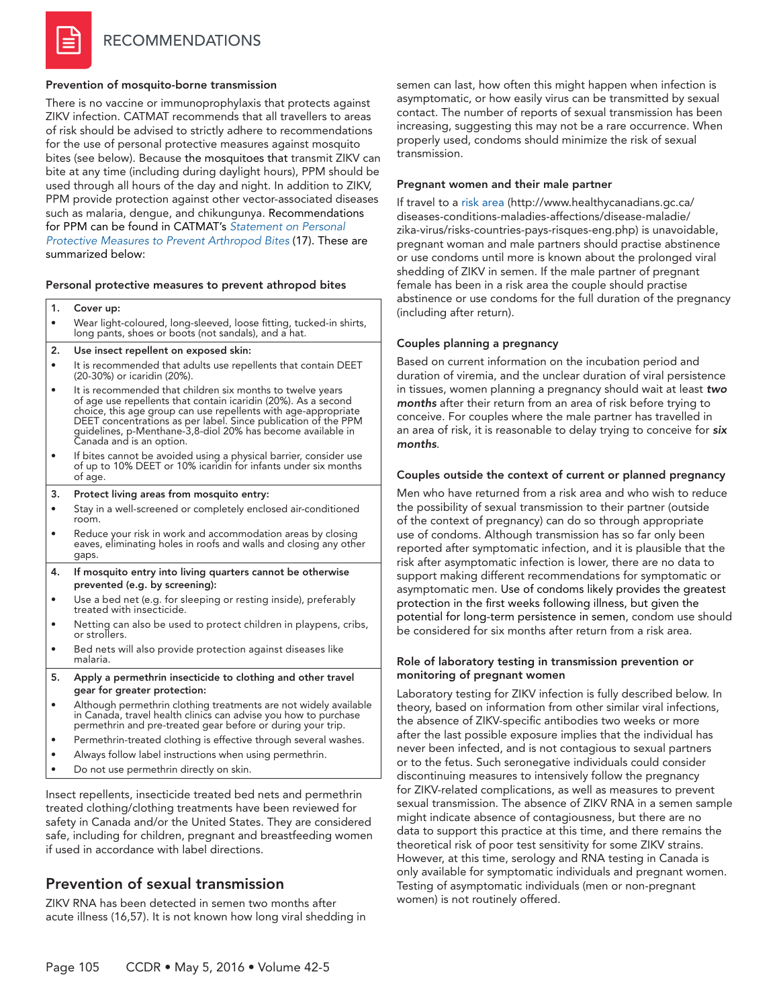#### Prevention of mosquito-borne transmission

There is no vaccine or immunoprophylaxis that protects against ZIKV infection. CATMAT recommends that all travellers to areas of risk should be advised to strictly adhere to recommendations for the use of personal protective measures against mosquito bites (see below). Because the mosquitoes that transmit ZIKV can bite at any time (including during daylight hours), PPM should be used through all hours of the day and night. In addition to ZIKV, PPM provide protection against other vector-associated diseases such as malaria, dengue, and chikungunya. Recommendations for PPM can be found in CATMAT's *[Statement on Personal](http://www.phac-aspc.gc.ca/publicat/ccdr-rmtc/12vol38/acs-dcc-3/index-eng.php)  [Protective Measures to Prevent Arthropod Bites](http://www.phac-aspc.gc.ca/publicat/ccdr-rmtc/12vol38/acs-dcc-3/index-eng.php)* (17). These are summarized below:

#### Personal protective measures to prevent athropod bites

|                                       |  | 1. Cover up:                                                                                                                |  |  |
|---------------------------------------|--|-----------------------------------------------------------------------------------------------------------------------------|--|--|
|                                       |  | Wear light-coloured, long-sleeved, loose fitting, tucked-in shirts,<br>long pants, shoes or boots (not sandals), and a hat. |  |  |
| Use insect repellent on exposed skin: |  |                                                                                                                             |  |  |
|                                       |  |                                                                                                                             |  |  |

- It is recommended that adults use repellents that contain DEET (20-30%) or icaridin (20%).
- It is recommended that children six months to twelve years of age use repellents that contain icaridin (20%). As a second choice, this age group can use repellents with age-appropriate DEET concentrations as per label. Since publication of the PPM guidelines, p-Menthane-3,8-diol 20% has become available in Canada and is an option.
- If bites cannot be avoided using a physical barrier, consider use of up to 10% DEET or 10% icaridin for infants under six months of age.
- 3. Protect living areas from mosquito entry:
- Stay in a well-screened or completely enclosed air-conditioned room.
- Reduce your risk in work and accommodation areas by closing eaves, eliminating holes in roofs and walls and closing any other gaps.
- 4. If mosquito entry into living quarters cannot be otherwise prevented (e.g. by screening):
- Use a bed net (e.g. for sleeping or resting inside), preferably treated with insecticide.
- Netting can also be used to protect children in playpens, cribs, or strollers.
- Bed nets will also provide protection against diseases like malaria.
- 5. Apply a permethrin insecticide to clothing and other travel gear for greater protection:
- Although permethrin clothing treatments are not widely available in Canada, travel health clinics can advise you how to purchase permethrin and pre-treated gear before or during your trip.
- Permethrin-treated clothing is effective through several washes.
- Always follow label instructions when using permethrin.
- Do not use permethrin directly on skin.

Insect repellents, insecticide treated bed nets and permethrin treated clothing/clothing treatments have been reviewed for safety in Canada and/or the United States. They are considered safe, including for children, pregnant and breastfeeding women if used in accordance with label directions.

### Prevention of sexual transmission

ZIKV RNA has been detected in semen two months after acute illness (16,57). It is not known how long viral shedding in semen can last, how often this might happen when infection is asymptomatic, or how easily virus can be transmitted by sexual contact. The number of reports of sexual transmission has been increasing, suggesting this may not be a rare occurrence. When properly used, condoms should minimize the risk of sexual transmission.

#### Pregnant women and their male partner

If travel to [a risk area](http://www.healthycanadians.gc.ca/diseases-conditions-maladies-affections/disease-maladie/zika-virus/risks-countries-pays-risques-eng.php) (http://www.healthycanadians.gc.ca/ diseases-conditions-maladies-affections/disease-maladie/ zika-virus/risks-countries-pays-risques-eng.php) is unavoidable, pregnant woman and male partners should practise abstinence or use condoms until more is known about the prolonged viral shedding of ZIKV in semen. If the male partner of pregnant female has been in a risk area the couple should practise abstinence or use condoms for the full duration of the pregnancy (including after return).

#### Couples planning a pregnancy

Based on current information on the incubation period and duration of viremia, and the unclear duration of viral persistence in tissues, women planning a pregnancy should wait at least *two months* after their return from an area of risk before trying to conceive. For couples where the male partner has travelled in an area of risk, it is reasonable to delay trying to conceive for *six months*.

#### Couples outside the context of current or planned pregnancy

Men who have returned from a risk area and who wish to reduce the possibility of sexual transmission to their partner (outside of the context of pregnancy) can do so through appropriate use of condoms. Although transmission has so far only been reported after symptomatic infection, and it is plausible that the risk after asymptomatic infection is lower, there are no data to support making different recommendations for symptomatic or asymptomatic men. Use of condoms likely provides the greatest protection in the first weeks following illness, but given the potential for long-term persistence in semen, condom use should be considered for six months after return from a risk area.

#### Role of laboratory testing in transmission prevention or monitoring of pregnant women

Laboratory testing for ZIKV infection is fully described below. In theory, based on information from other similar viral infections, the absence of ZIKV-specific antibodies two weeks or more after the last possible exposure implies that the individual has never been infected, and is not contagious to sexual partners or to the fetus. Such seronegative individuals could consider discontinuing measures to intensively follow the pregnancy for ZIKV-related complications, as well as measures to prevent sexual transmission. The absence of ZIKV RNA in a semen sample might indicate absence of contagiousness, but there are no data to support this practice at this time, and there remains the theoretical risk of poor test sensitivity for some ZIKV strains. However, at this time, serology and RNA testing in Canada is only available for symptomatic individuals and pregnant women. Testing of asymptomatic individuals (men or non-pregnant women) is not routinely offered.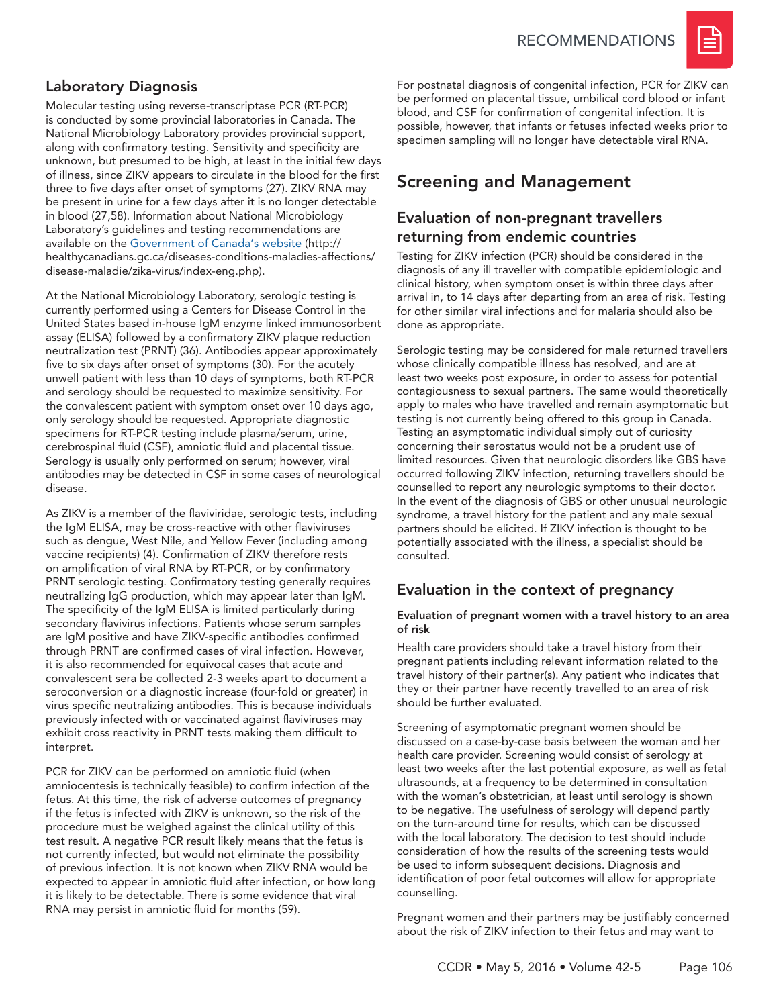

### Laboratory Diagnosis

Molecular testing using reverse-transcriptase PCR (RT-PCR) is conducted by some provincial laboratories in Canada. The National Microbiology Laboratory provides provincial support, along with confirmatory testing. Sensitivity and specificity are unknown, but presumed to be high, at least in the initial few days of illness, since ZIKV appears to circulate in the blood for the first three to five days after onset of symptoms (27). ZIKV RNA may be present in urine for a few days after it is no longer detectable in blood (27,58). Information about National Microbiology Laboratory's guidelines and testing recommendations are available on the [Government of Canada's website](http://healthycanadians.gc.ca/publications/diseases-conditions-maladies-affections/risks-zika-virus-risques/index-eng.php) (http:// healthycanadians.gc.ca/diseases-conditions-maladies-affections/ disease-maladie/zika-virus/index-eng.php).

At the National Microbiology Laboratory, serologic testing is currently performed using a Centers for Disease Control in the United States based in-house IgM enzyme linked immunosorbent assay (ELISA) followed by a confirmatory ZIKV plaque reduction neutralization test (PRNT) (36). Antibodies appear approximately five to six days after onset of symptoms (30). For the acutely unwell patient with less than 10 days of symptoms, both RT-PCR and serology should be requested to maximize sensitivity. For the convalescent patient with symptom onset over 10 days ago, only serology should be requested. Appropriate diagnostic specimens for RT-PCR testing include plasma/serum, urine, cerebrospinal fluid (CSF), amniotic fluid and placental tissue. Serology is usually only performed on serum; however, viral antibodies may be detected in CSF in some cases of neurological disease.

As ZIKV is a member of the flaviviridae, serologic tests, including the IgM ELISA, may be cross-reactive with other flaviviruses such as dengue, West Nile, and Yellow Fever (including among vaccine recipients) (4). Confirmation of ZIKV therefore rests on amplification of viral RNA by RT-PCR, or by confirmatory PRNT serologic testing. Confirmatory testing generally requires neutralizing IgG production, which may appear later than IgM. The specificity of the IgM ELISA is limited particularly during secondary flavivirus infections. Patients whose serum samples are IgM positive and have ZIKV-specific antibodies confirmed through PRNT are confirmed cases of viral infection. However, it is also recommended for equivocal cases that acute and convalescent sera be collected 2-3 weeks apart to document a seroconversion or a diagnostic increase (four-fold or greater) in virus specific neutralizing antibodies. This is because individuals previously infected with or vaccinated against flaviviruses may exhibit cross reactivity in PRNT tests making them difficult to interpret.

PCR for ZIKV can be performed on amniotic fluid (when amniocentesis is technically feasible) to confirm infection of the fetus. At this time, the risk of adverse outcomes of pregnancy if the fetus is infected with ZIKV is unknown, so the risk of the procedure must be weighed against the clinical utility of this test result. A negative PCR result likely means that the fetus is not currently infected, but would not eliminate the possibility of previous infection. It is not known when ZIKV RNA would be expected to appear in amniotic fluid after infection, or how long it is likely to be detectable. There is some evidence that viral RNA may persist in amniotic fluid for months (59).

For postnatal diagnosis of congenital infection, PCR for ZIKV can be performed on placental tissue, umbilical cord blood or infant blood, and CSF for confirmation of congenital infection. It is possible, however, that infants or fetuses infected weeks prior to specimen sampling will no longer have detectable viral RNA.

# Screening and Management

### Evaluation of non-pregnant travellers returning from endemic countries

Testing for ZIKV infection (PCR) should be considered in the diagnosis of any ill traveller with compatible epidemiologic and clinical history, when symptom onset is within three days after arrival in, to 14 days after departing from an area of risk. Testing for other similar viral infections and for malaria should also be done as appropriate.

Serologic testing may be considered for male returned travellers whose clinically compatible illness has resolved, and are at least two weeks post exposure, in order to assess for potential contagiousness to sexual partners. The same would theoretically apply to males who have travelled and remain asymptomatic but testing is not currently being offered to this group in Canada. Testing an asymptomatic individual simply out of curiosity concerning their serostatus would not be a prudent use of limited resources. Given that neurologic disorders like GBS have occurred following ZIKV infection, returning travellers should be counselled to report any neurologic symptoms to their doctor. In the event of the diagnosis of GBS or other unusual neurologic syndrome, a travel history for the patient and any male sexual partners should be elicited. If ZIKV infection is thought to be potentially associated with the illness, a specialist should be consulted.

### Evaluation in the context of pregnancy

#### Evaluation of pregnant women with a travel history to an area of risk

Health care providers should take a travel history from their pregnant patients including relevant information related to the travel history of their partner(s). Any patient who indicates that they or their partner have recently travelled to an area of risk should be further evaluated.

Screening of asymptomatic pregnant women should be discussed on a case-by-case basis between the woman and her health care provider. Screening would consist of serology at least two weeks after the last potential exposure, as well as fetal ultrasounds, at a frequency to be determined in consultation with the woman's obstetrician, at least until serology is shown to be negative. The usefulness of serology will depend partly on the turn-around time for results, which can be discussed with the local laboratory. The decision to test should include consideration of how the results of the screening tests would be used to inform subsequent decisions. Diagnosis and identification of poor fetal outcomes will allow for appropriate counselling.

Pregnant women and their partners may be justifiably concerned about the risk of ZIKV infection to their fetus and may want to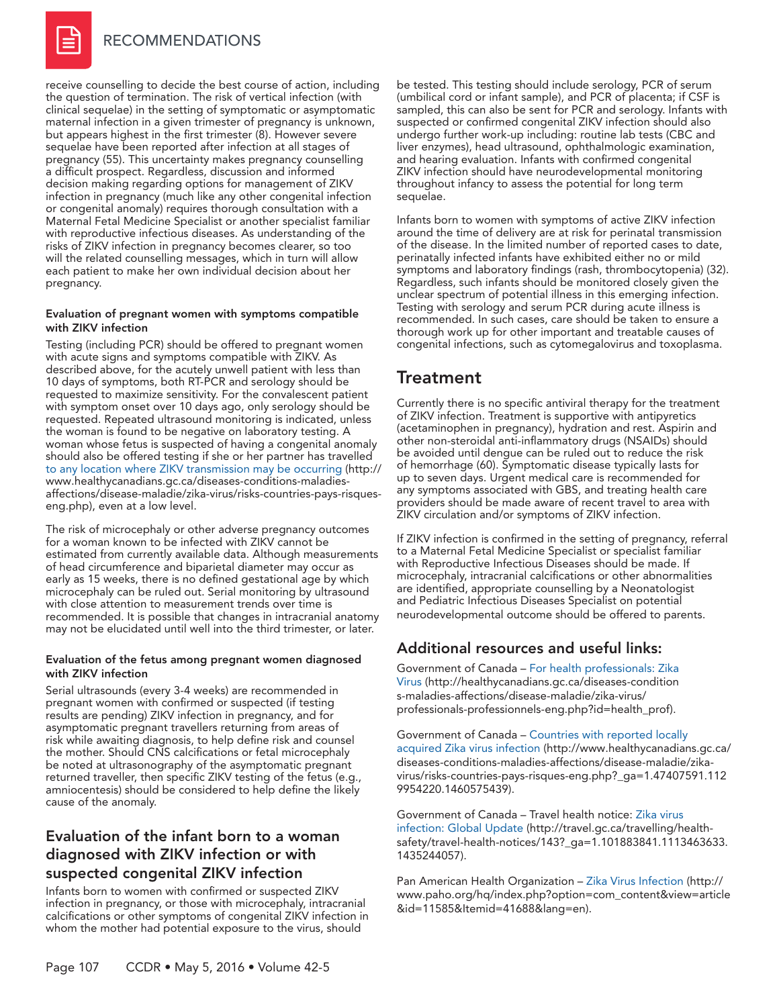

receive counselling to decide the best course of action, including the question of termination. The risk of vertical infection (with clinical sequelae) in the setting of symptomatic or asymptomatic maternal infection in a given trimester of pregnancy is unknown, but appears highest in the first trimester (8). However severe sequelae have been reported after infection at all stages of pregnancy (55). This uncertainty makes pregnancy counselling a difficult prospect. Regardless, discussion and informed decision making regarding options for management of ZIKV infection in pregnancy (much like any other congenital infection or congenital anomaly) requires thorough consultation with a Maternal Fetal Medicine Specialist or another specialist familiar with reproductive infectious diseases. As understanding of the risks of ZIKV infection in pregnancy becomes clearer, so too will the related counselling messages, which in turn will allow each patient to make her own individual decision about her pregnancy.

#### Evaluation of pregnant women with symptoms compatible with ZIKV infection

Testing (including PCR) should be offered to pregnant women with acute signs and symptoms compatible with ZIKV. As described above, for the acutely unwell patient with less than 10 days of symptoms, both RT-PCR and serology should be requested to maximize sensitivity. For the convalescent patient with symptom onset over 10 days ago, only serology should be requested. Repeated ultrasound monitoring is indicated, unless the woman is found to be negative on laboratory testing. A woman whose fetus is suspected of having a congenital anomaly should also be offered testing if she or her partner has travelled [to any location where ZIKV transmission may be occurring](http://www.healthycanadians.gc.ca/diseases-conditions-maladies-affections/disease-maladie/zika-virus/risks-countries-pays-risques-eng.php?_ga=1.47407591.1129954220.1460575439) (http:// www.healthycanadians.gc.ca/diseases-conditions-maladiesaffections/disease-maladie/zika-virus/risks-countries-pays-risqueseng.php), even at a low level.

The risk of microcephaly or other adverse pregnancy outcomes for a woman known to be infected with ZIKV cannot be estimated from currently available data. Although measurements of head circumference and biparietal diameter may occur as early as 15 weeks, there is no defined gestational age by which microcephaly can be ruled out. Serial monitoring by ultrasound with close attention to measurement trends over time is recommended. It is possible that changes in intracranial anatomy may not be elucidated until well into the third trimester, or later.

#### Evaluation of the fetus among pregnant women diagnosed with ZIKV infection

Serial ultrasounds (every 3-4 weeks) are recommended in pregnant women with confirmed or suspected (if testing results are pending) ZIKV infection in pregnancy, and for asymptomatic pregnant travellers returning from areas of risk while awaiting diagnosis, to help define risk and counsel the mother. Should CNS calcifications or fetal microcephaly be noted at ultrasonography of the asymptomatic pregnant returned traveller, then specific ZIKV testing of the fetus (e.g., amniocentesis) should be considered to help define the likely cause of the anomaly.

### Evaluation of the infant born to a woman diagnosed with ZIKV infection or with suspected congenital ZIKV infection

Infants born to women with confirmed or suspected ZIKV infection in pregnancy, or those with microcephaly, intracranial calcifications or other symptoms of congenital ZIKV infection in whom the mother had potential exposure to the virus, should

be tested. This testing should include serology, PCR of serum (umbilical cord or infant sample), and PCR of placenta; if CSF is sampled, this can also be sent for PCR and serology. Infants with suspected or confirmed congenital ZIKV infection should also undergo further work-up including: routine lab tests (CBC and liver enzymes), head ultrasound, ophthalmologic examination, and hearing evaluation. Infants with confirmed congenital ZIKV infection should have neurodevelopmental monitoring throughout infancy to assess the potential for long term sequelae.

Infants born to women with symptoms of active ZIKV infection around the time of delivery are at risk for perinatal transmission of the disease. In the limited number of reported cases to date, perinatally infected infants have exhibited either no or mild symptoms and laboratory findings (rash, thrombocytopenia) (32). Regardless, such infants should be monitored closely given the unclear spectrum of potential illness in this emerging infection. Testing with serology and serum PCR during acute illness is recommended. In such cases, care should be taken to ensure a thorough work up for other important and treatable causes of congenital infections, such as cytomegalovirus and toxoplasma.

### **Treatment**

Currently there is no specific antiviral therapy for the treatment of ZIKV infection. Treatment is supportive with antipyretics (acetaminophen in pregnancy), hydration and rest. Aspirin and other non-steroidal anti-inflammatory drugs (NSAIDs) should be avoided until dengue can be ruled out to reduce the risk of hemorrhage (60). Symptomatic disease typically lasts for up to seven days. Urgent medical care is recommended for any symptoms associated with GBS, and treating health care providers should be made aware of recent travel to area with ZIKV circulation and/or symptoms of ZIKV infection.

If ZIKV infection is confirmed in the setting of pregnancy, referral to a Maternal Fetal Medicine Specialist or specialist familiar with Reproductive Infectious Diseases should be made. If microcephaly, intracranial calcifications or other abnormalities are identified, appropriate counselling by a Neonatologist and Pediatric Infectious Diseases Specialist on potential neurodevelopmental outcome should be offered to parents.

### Additional resources and useful links:

Government of Canada – [For health professionals: Zika](http://healthycanadians.gc.ca/diseases-conditions-maladies-affections/disease-maladie/zika-virus/professionals-professionnels-eng.php?id=health_prof)  [Virus](http://healthycanadians.gc.ca/diseases-conditions-maladies-affections/disease-maladie/zika-virus/professionals-professionnels-eng.php?id=health_prof) (http://healthycanadians.gc.ca/diseases-condition s-maladies-affections/disease-maladie/zika-virus/ professionals-professionnels-eng.php?id=health\_prof).

Government of Canada – [Countries with reported locally](http://www.healthycanadians.gc.ca/diseases-conditions-maladies-affections/disease-maladie/zika-virus/risks-countries-pays-risques-eng.php?_ga=1.47407591.1129954220.1460575439)  [acquired Zika virus infection](http://www.healthycanadians.gc.ca/diseases-conditions-maladies-affections/disease-maladie/zika-virus/risks-countries-pays-risques-eng.php?_ga=1.47407591.1129954220.1460575439) (http://www.healthycanadians.gc.ca/ diseases-conditions-maladies-affections/disease-maladie/zikavirus/risks-countries-pays-risques-eng.php?\_ga=1.47407591.112 9954220.1460575439).

Government of Canada – Travel health notice: [Zika virus](http://travel.gc.ca/travelling/health-safety/travel-health-notices/143?_ga=1.101883841.1113463633.1435244057)  [infection: Global Update](http://travel.gc.ca/travelling/health-safety/travel-health-notices/143?_ga=1.101883841.1113463633.1435244057) (http://travel.gc.ca/travelling/healthsafety/travel-health-notices/143?\_ga=1.101883841.1113463633. 1435244057).

Pan American Health Organization – [Zika Virus Infection](http://www.paho.org/hq/index.php?option=com_content&view=article&id=11585&Itemid=41688&lang=en) (http:// www.paho.org/hq/index.php?option=com\_content&view=article &id=11585&Itemid=41688&lang=en).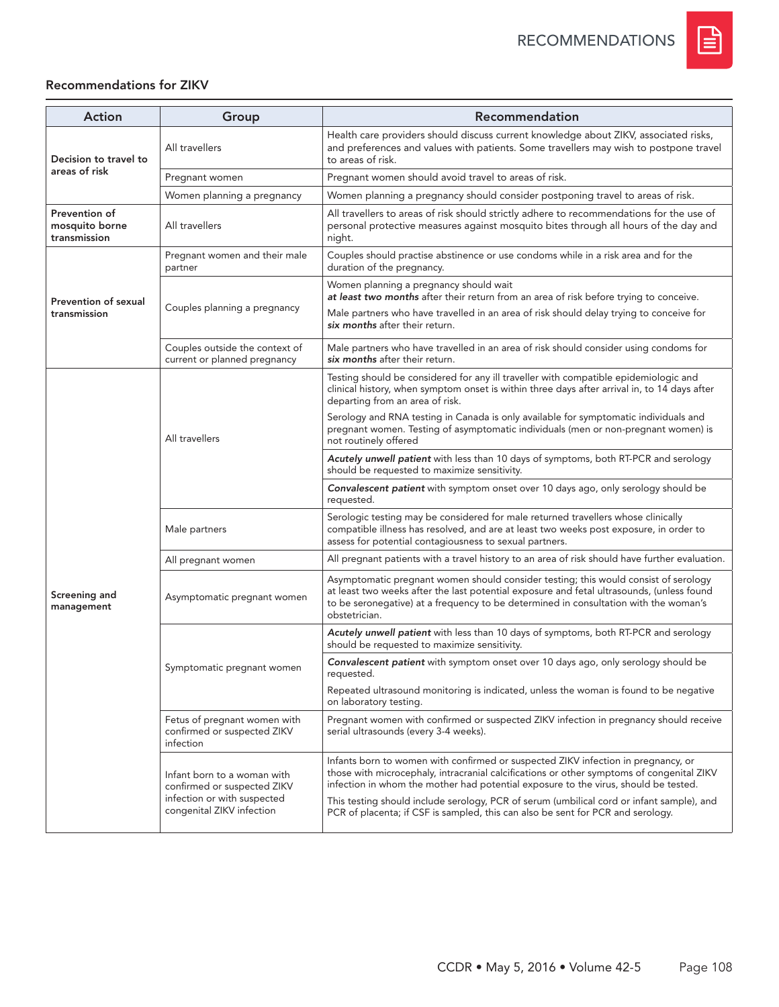

### Recommendations for ZIKV

| <b>Action</b>                                   | Group                                                                                                                  | Recommendation                                                                                                                                                                                                                                                                            |
|-------------------------------------------------|------------------------------------------------------------------------------------------------------------------------|-------------------------------------------------------------------------------------------------------------------------------------------------------------------------------------------------------------------------------------------------------------------------------------------|
| Decision to travel to                           | All travellers                                                                                                         | Health care providers should discuss current knowledge about ZIKV, associated risks,<br>and preferences and values with patients. Some travellers may wish to postpone travel<br>to areas of risk.                                                                                        |
| areas of risk                                   | Pregnant women                                                                                                         | Pregnant women should avoid travel to areas of risk.                                                                                                                                                                                                                                      |
|                                                 | Women planning a pregnancy                                                                                             | Women planning a pregnancy should consider postponing travel to areas of risk.                                                                                                                                                                                                            |
| Prevention of<br>mosquito borne<br>transmission | All travellers                                                                                                         | All travellers to areas of risk should strictly adhere to recommendations for the use of<br>personal protective measures against mosquito bites through all hours of the day and<br>night.                                                                                                |
|                                                 | Pregnant women and their male<br>partner                                                                               | Couples should practise abstinence or use condoms while in a risk area and for the<br>duration of the pregnancy.                                                                                                                                                                          |
| Prevention of sexual                            | Couples planning a pregnancy                                                                                           | Women planning a pregnancy should wait<br>at least two months after their return from an area of risk before trying to conceive.                                                                                                                                                          |
| transmission                                    |                                                                                                                        | Male partners who have travelled in an area of risk should delay trying to conceive for<br>six months after their return.                                                                                                                                                                 |
|                                                 | Couples outside the context of<br>current or planned pregnancy                                                         | Male partners who have travelled in an area of risk should consider using condoms for<br>six months after their return.                                                                                                                                                                   |
|                                                 | All travellers                                                                                                         | Testing should be considered for any ill traveller with compatible epidemiologic and<br>clinical history, when symptom onset is within three days after arrival in, to 14 days after<br>departing from an area of risk.                                                                   |
|                                                 |                                                                                                                        | Serology and RNA testing in Canada is only available for symptomatic individuals and<br>pregnant women. Testing of asymptomatic individuals (men or non-pregnant women) is<br>not routinely offered                                                                                       |
|                                                 |                                                                                                                        | Acutely unwell patient with less than 10 days of symptoms, both RT-PCR and serology<br>should be requested to maximize sensitivity.                                                                                                                                                       |
|                                                 |                                                                                                                        | <b>Convalescent patient</b> with symptom onset over 10 days ago, only serology should be<br>requested.                                                                                                                                                                                    |
|                                                 | Male partners                                                                                                          | Serologic testing may be considered for male returned travellers whose clinically<br>compatible illness has resolved, and are at least two weeks post exposure, in order to<br>assess for potential contagiousness to sexual partners.                                                    |
|                                                 | All pregnant women                                                                                                     | All pregnant patients with a travel history to an area of risk should have further evaluation.                                                                                                                                                                                            |
| Screening and<br>management                     | Asymptomatic pregnant women                                                                                            | Asymptomatic pregnant women should consider testing; this would consist of serology<br>at least two weeks after the last potential exposure and fetal ultrasounds, (unless found<br>to be seronegative) at a frequency to be determined in consultation with the woman's<br>obstetrician. |
|                                                 | Symptomatic pregnant women                                                                                             | Acutely unwell patient with less than 10 days of symptoms, both RT-PCR and serology<br>should be requested to maximize sensitivity.                                                                                                                                                       |
|                                                 |                                                                                                                        | Convalescent patient with symptom onset over 10 days ago, only serology should be<br>requested.                                                                                                                                                                                           |
|                                                 |                                                                                                                        | Repeated ultrasound monitoring is indicated, unless the woman is found to be negative<br>on laboratory testing.                                                                                                                                                                           |
|                                                 | Fetus of pregnant women with<br>confirmed or suspected ZIKV<br>infection                                               | Pregnant women with confirmed or suspected ZIKV infection in pregnancy should receive<br>serial ultrasounds (every 3-4 weeks).                                                                                                                                                            |
|                                                 | Infant born to a woman with<br>confirmed or suspected ZIKV<br>infection or with suspected<br>congenital ZIKV infection | Infants born to women with confirmed or suspected ZIKV infection in pregnancy, or<br>those with microcephaly, intracranial calcifications or other symptoms of congenital ZIKV<br>infection in whom the mother had potential exposure to the virus, should be tested.                     |
|                                                 |                                                                                                                        | This testing should include serology, PCR of serum (umbilical cord or infant sample), and<br>PCR of placenta; if CSF is sampled, this can also be sent for PCR and serology.                                                                                                              |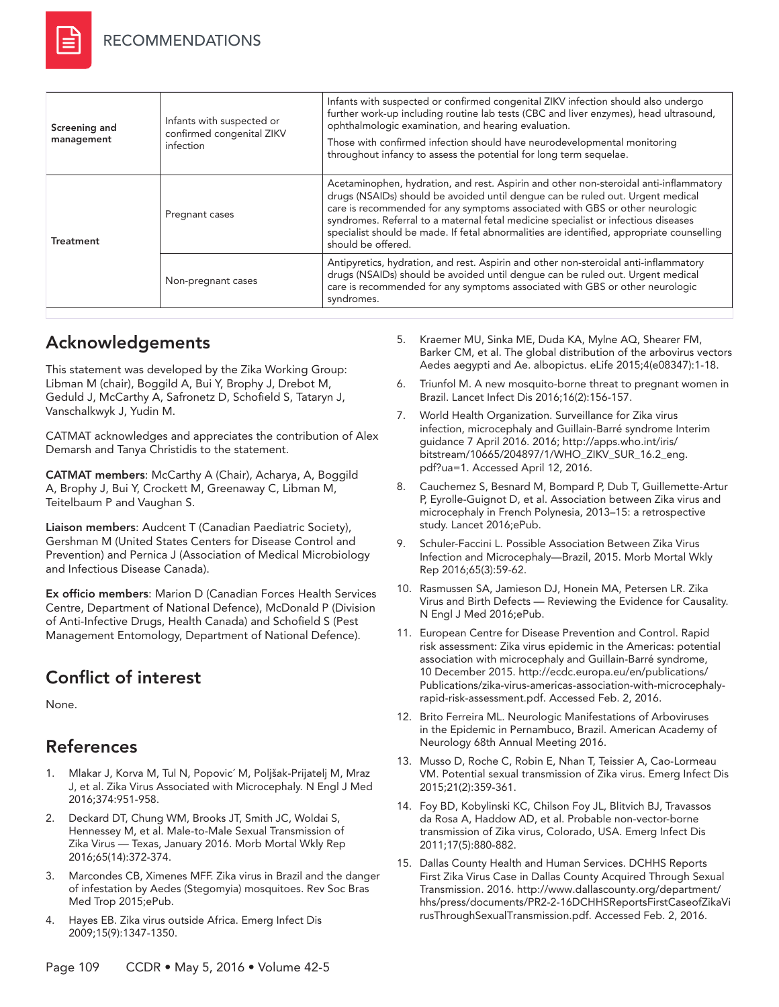

| Screening and<br>management | Infants with suspected or<br>confirmed congenital ZIKV<br>infection | Infants with suspected or confirmed congenital ZIKV infection should also undergo<br>further work-up including routine lab tests (CBC and liver enzymes), head ultrasound,<br>ophthalmologic examination, and hearing evaluation.<br>Those with confirmed infection should have neurodevelopmental monitoring<br>throughout infancy to assess the potential for long term sequelae.                                                                              |
|-----------------------------|---------------------------------------------------------------------|------------------------------------------------------------------------------------------------------------------------------------------------------------------------------------------------------------------------------------------------------------------------------------------------------------------------------------------------------------------------------------------------------------------------------------------------------------------|
| <b>Treatment</b>            | Pregnant cases                                                      | Acetaminophen, hydration, and rest. Aspirin and other non-steroidal anti-inflammatory<br>drugs (NSAIDs) should be avoided until dengue can be ruled out. Urgent medical<br>care is recommended for any symptoms associated with GBS or other neurologic<br>syndromes. Referral to a maternal fetal medicine specialist or infectious diseases<br>specialist should be made. If fetal abnormalities are identified, appropriate counselling<br>should be offered. |
|                             | Non-pregnant cases                                                  | Antipyretics, hydration, and rest. Aspirin and other non-steroidal anti-inflammatory<br>drugs (NSAIDs) should be avoided until dengue can be ruled out. Urgent medical<br>care is recommended for any symptoms associated with GBS or other neurologic<br>syndromes.                                                                                                                                                                                             |

# Acknowledgements

This statement was developed by the Zika Working Group: Libman M (chair), Boggild A, Bui Y, Brophy J, Drebot M, Geduld J, McCarthy A, Safronetz D, Schofield S, Tataryn J, Vanschalkwyk J, Yudin M.

CATMAT acknowledges and appreciates the contribution of Alex Demarsh and Tanya Christidis to the statement.

CATMAT members: McCarthy A (Chair), Acharya, A, Boggild A, Brophy J, Bui Y, Crockett M, Greenaway C, Libman M, Teitelbaum P and Vaughan S.

Liaison members: Audcent T (Canadian Paediatric Society), Gershman M (United States Centers for Disease Control and Prevention) and Pernica J (Association of Medical Microbiology and Infectious Disease Canada).

Ex officio members: Marion D (Canadian Forces Health Services Centre, Department of National Defence), McDonald P (Division of Anti-Infective Drugs, Health Canada) and Schofield S (Pest Management Entomology, Department of National Defence).

# Conflict of interest

None.

# References

- 1. Mlakar J, Korva M, Tul N, Popovic´ M, Poljšak-Prijatelj M, Mraz J, et al. Zika Virus Associated with Microcephaly. N Engl J Med 2016;374:951-958.
- 2. Deckard DT, Chung WM, Brooks JT, Smith JC, Woldai S, Hennessey M, et al. Male-to-Male Sexual Transmission of Zika Virus — Texas, January 2016. Morb Mortal Wkly Rep 2016;65(14):372-374.
- 3. Marcondes CB, Ximenes MFF. Zika virus in Brazil and the danger of infestation by Aedes (Stegomyia) mosquitoes. Rev Soc Bras Med Trop 2015;ePub.
- 4. Hayes EB. Zika virus outside Africa. Emerg Infect Dis 2009;15(9):1347-1350.
- 5. Kraemer MU, Sinka ME, Duda KA, Mylne AQ, Shearer FM, Barker CM, et al. The global distribution of the arbovirus vectors Aedes aegypti and Ae. albopictus. eLife 2015;4(e08347):1-18.
- 6. Triunfol M. A new mosquito-borne threat to pregnant women in Brazil. Lancet Infect Dis 2016;16(2):156-157.
- 7. World Health Organization. Surveillance for Zika virus infection, microcephaly and Guillain-Barré syndrome Interim guidance 7 April 2016. 2016; [http://apps.who.int/iris/](http://) [bitstream/10665/204897/1/WHO\\_ZIKV\\_SUR\\_16.2\\_eng.](http://) [pdf?ua=1.](http://) Accessed April 12, 2016.
- 8. Cauchemez S, Besnard M, Bompard P, Dub T, Guillemette-Artur P, Eyrolle-Guignot D, et al. Association between Zika virus and microcephaly in French Polynesia, 2013–15: a retrospective study. Lancet 2016;ePub.
- 9. Schuler-Faccini L. Possible Association Between Zika Virus Infection and Microcephaly—Brazil, 2015. Morb Mortal Wkly Rep 2016;65(3):59-62.
- 10. Rasmussen SA, Jamieson DJ, Honein MA, Petersen LR. Zika Virus and Birth Defects — Reviewing the Evidence for Causality. N Engl J Med 2016;ePub.
- 11. European Centre for Disease Prevention and Control. Rapid risk assessment: Zika virus epidemic in the Americas: potential association with microcephaly and Guillain-Barré syndrome, 10 December 2015. [http://ecdc.europa.eu/en/publications/](http://) [Publications/zika-virus-americas-association-with-microcephaly](http://)[rapid-risk-assessment.pdf](http://). Accessed Feb. 2, 2016.
- 12. Brito Ferreira ML. Neurologic Manifestations of Arboviruses in the Epidemic in Pernambuco, Brazil. American Academy of Neurology 68th Annual Meeting 2016.
- 13. Musso D, Roche C, Robin E, Nhan T, Teissier A, Cao-Lormeau VM. Potential sexual transmission of Zika virus. Emerg Infect Dis 2015;21(2):359-361.
- 14. Foy BD, Kobylinski KC, Chilson Foy JL, Blitvich BJ, Travassos da Rosa A, Haddow AD, et al. Probable non-vector-borne transmission of Zika virus, Colorado, USA. Emerg Infect Dis 2011;17(5):880-882.
- 15. Dallas County Health and Human Services. DCHHS Reports First Zika Virus Case in Dallas County Acquired Through Sexual Transmission. 2016. http://www.dallascounty.org/department/ hhs/press/documents/PR2-2-16DCHHSReportsFirstCaseofZikaVi rusThroughSexualTransmission.pdf. Accessed Feb. 2, 2016.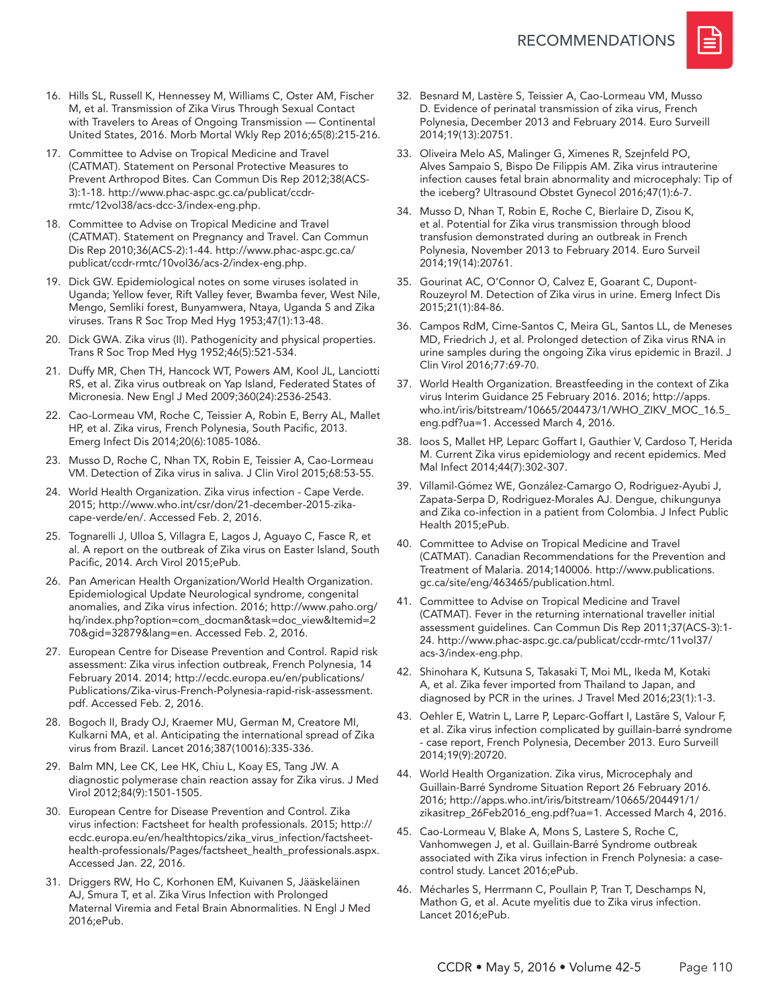

- 16. Hills SL, Russell K, Hennessey M, Williams C, Oster AM, Fischer M, et al. Transmission of Zika Virus Through Sexual Contact with Travelers to Areas of Ongoing Transmission — Continental United States, 2016. Morb Mortal Wkly Rep 2016;65(8):215-216.
- 17. Committee to Advise on Tropical Medicine and Travel (CATMAT). Statement on Personal Protective Measures to Prevent Arthropod Bites. Can Commun Dis Rep 2012;38(ACS-3):1-18. http://www.phac-aspc.gc.ca/publicat/ccdrrmtc/12vol38/acs-dcc-3/index-eng.php.
- 18. Committee to Advise on Tropical Medicine and Travel (CATMAT). Statement on Pregnancy and Travel. Can Commun Dis Rep 2010;36(ACS-2):1-44. http://www.phac-aspc.gc.ca/ publicat/ccdr-rmtc/10vol36/acs-2/index-eng.php.
- 19. Dick GW. Epidemiological notes on some viruses isolated in Uganda; Yellow fever, Rift Valley fever, Bwamba fever, West Nile, Mengo, Semliki forest, Bunyamwera, Ntaya, Uganda S and Zika viruses. Trans R Soc Trop Med Hyg 1953;47(1):13-48.
- 20. Dick GWA. Zika virus (II). Pathogenicity and physical properties. Trans R Soc Trop Med Hyg 1952;46(5):521-534.
- 21. Duffy MR, Chen TH, Hancock WT, Powers AM, Kool JL, Lanciotti RS, et al. Zika virus outbreak on Yap Island, Federated States of Micronesia. New Engl J Med 2009;360(24):2536-2543.
- 22. Cao-Lormeau VM, Roche C, Teissier A, Robin E, Berry AL, Mallet HP, et al. Zika virus, French Polynesia, South Pacific, 2013. Emerg Infect Dis 2014;20(6):1085-1086.
- 23. Musso D, Roche C, Nhan TX, Robin E, Teissier A, Cao-Lormeau VM. Detection of Zika virus in saliva. J Clin Virol 2015;68:53-55.
- 24. World Health Organization. Zika virus infection Cape Verde. 2015; http://www.who.int/csr/don/21-december-2015-zikacape-verde/en/. Accessed Feb. 2, 2016.
- 25. Tognarelli J, Ulloa S, Villagra E, Lagos J, Aguayo C, Fasce R, et al. A report on the outbreak of Zika virus on Easter Island, South Pacific, 2014. Arch Virol 2015;ePub.
- 26. Pan American Health Organization/World Health Organization. Epidemiological Update Neurological syndrome, congenital anomalies, and Zika virus infection. 2016; http://www.paho.org/ hq/index.php?option=com\_docman&task=doc\_view&Itemid=2 70&gid=32879&lang=en. Accessed Feb. 2, 2016.
- 27. European Centre for Disease Prevention and Control. Rapid risk assessment: Zika virus infection outbreak, French Polynesia, 14 February 2014. 2014; http://ecdc.europa.eu/en/publications/ Publications/Zika-virus-French-Polynesia-rapid-risk-assessment. pdf. Accessed Feb. 2, 2016.
- 28. Bogoch II, Brady OJ, Kraemer MU, German M, Creatore MI, Kulkarni MA, et al. Anticipating the international spread of Zika virus from Brazil. Lancet 2016;387(10016):335-336.
- 29. Balm MN, Lee CK, Lee HK, Chiu L, Koay ES, Tang JW. A diagnostic polymerase chain reaction assay for Zika virus. J Med Virol 2012;84(9):1501-1505.
- 30. European Centre for Disease Prevention and Control. Zika virus infection: Factsheet for health professionals. 2015; http:// ecdc.europa.eu/en/healthtopics/zika\_virus\_infection/factsheethealth-professionals/Pages/factsheet\_health\_professionals.aspx. Accessed Jan. 22, 2016.
- 31. Driggers RW, Ho C, Korhonen EM, Kuivanen S, Jääskeläinen AJ, Smura T, et al. Zika Virus Infection with Prolonged Maternal Viremia and Fetal Brain Abnormalities. N Engl J Med 2016;ePub.
- 32. Besnard M, Lastère S, Teissier A, Cao-Lormeau VM, Musso D. Evidence of perinatal transmission of zika virus, French Polynesia, December 2013 and February 2014. Euro Surveill 2014;19(13):20751.
- 33. Oliveira Melo AS, Malinger G, Ximenes R, Szejnfeld PO, Alves Sampaio S, Bispo De Filippis AM. Zika virus intrauterine infection causes fetal brain abnormality and microcephaly: Tip of the iceberg? Ultrasound Obstet Gynecol 2016;47(1):6-7.
- 34. Musso D, Nhan T, Robin E, Roche C, Bierlaire D, Zisou K, et al. Potential for Zika virus transmission through blood transfusion demonstrated during an outbreak in French Polynesia, November 2013 to February 2014. Euro Surveil 2014;19(14):20761.
- 35. Gourinat AC, O'Connor O, Calvez E, Goarant C, Dupont-Rouzeyrol M. Detection of Zika virus in urine. Emerg Infect Dis 2015;21(1):84-86.
- 36. Campos RdM, Cirne-Santos C, Meira GL, Santos LL, de Meneses MD, Friedrich J, et al. Prolonged detection of Zika virus RNA in urine samples during the ongoing Zika virus epidemic in Brazil. J Clin Virol 2016;77:69-70.
- 37. World Health Organization. Breastfeeding in the context of Zika virus Interim Guidance 25 February 2016. 2016; http://apps. who.int/iris/bitstream/10665/204473/1/WHO\_ZIKV\_MOC\_16.5\_ eng.pdf?ua=1. Accessed March 4, 2016.
- 38. Ioos S, Mallet HP, Leparc Goffart I, Gauthier V, Cardoso T, Herida M. Current Zika virus epidemiology and recent epidemics. Med Mal Infect 2014;44(7):302-307.
- 39. Villamil-Gómez WE, González-Camargo O, Rodriguez-Ayubi J, Zapata-Serpa D, Rodriguez-Morales AJ. Dengue, chikungunya and Zika co-infection in a patient from Colombia. J Infect Public Health 2015;ePub.
- 40. Committee to Advise on Tropical Medicine and Travel (CATMAT). Canadian Recommendations for the Prevention and Treatment of Malaria. 2014;140006. http://www.publications. gc.ca/site/eng/463465/publication.html.
- 41. Committee to Advise on Tropical Medicine and Travel (CATMAT). Fever in the returning international traveller initial assessment guidelines. Can Commun Dis Rep 2011;37(ACS-3):1- 24. http://www.phac-aspc.gc.ca/publicat/ccdr-rmtc/11vol37/ acs-3/index-eng.php.
- 42. Shinohara K, Kutsuna S, Takasaki T, Moi ML, Ikeda M, Kotaki A, et al. Zika fever imported from Thailand to Japan, and diagnosed by PCR in the urines. J Travel Med 2016;23(1):1-3.
- 43. Oehler E, Watrin L, Larre P, Leparc-Goffart I, Lastãre S, Valour F, et al. Zika virus infection complicated by guillain-barré syndrome - case report, French Polynesia, December 2013. Euro Surveill 2014;19(9):20720.
- 44. World Health Organization. Zika virus, Microcephaly and Guillain-Barré Syndrome Situation Report 26 February 2016. 2016; http://apps.who.int/iris/bitstream/10665/204491/1/ zikasitrep\_26Feb2016\_eng.pdf?ua=1. Accessed March 4, 2016.
- 45. Cao-Lormeau V, Blake A, Mons S, Lastere S, Roche C, Vanhomwegen J, et al. Guillain-Barré Syndrome outbreak associated with Zika virus infection in French Polynesia: a casecontrol study. Lancet 2016;ePub.
- 46. Mécharles S, Herrmann C, Poullain P, Tran T, Deschamps N, Mathon G, et al. Acute myelitis due to Zika virus infection. Lancet 2016;ePub.